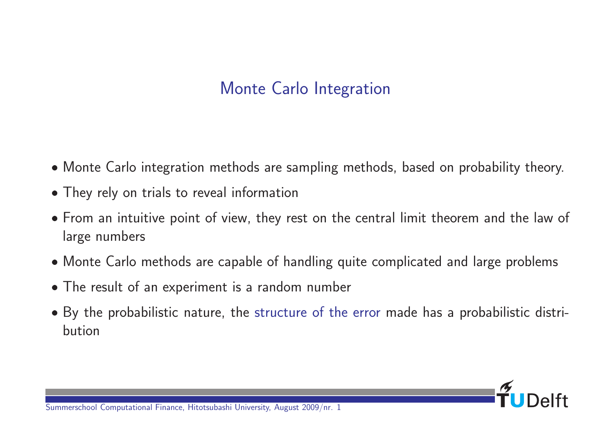# Monte Carlo Integration

- Monte Carlo integration methods are sampling methods, based on probability theory.
- They rely on trials to reveal information
- From an intuitive point of view, they rest on the central limit theorem and the law of large numbers
- Monte Carlo methods are capable of handling quite complicated and large problems
- The result of an experiment is a random number
- By the probabilistic nature, the structure of the error made has a probabilistic distribution

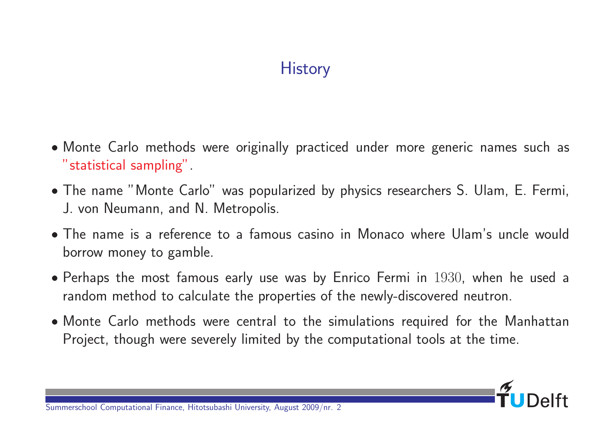# **History**

- Monte Carlo methods were originally practiced under more generic names such as "statistical sampling".
- The name "Monte Carlo" was popularized by physics researchers S. Ulam, E. Fermi, J. von Neumann, and N. Metropolis.
- The name is a reference to a famous casino in Monaco where Ulam's uncle would borrow money to gamble.
- Perhaps the most famous early use was by Enrico Fermi in 1930, when he used a random method to calculate the properties of the newly-discovered neutron.
- Monte Carlo methods were central to the simulations required for the Manhattan Project, though were severely limited by the computational tools at the time.

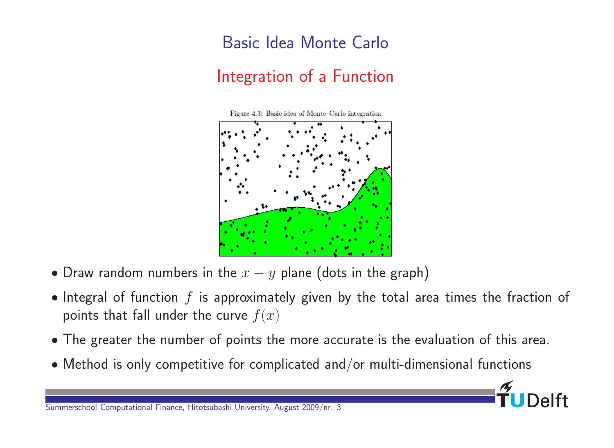# Basic Idea Monte Carlo Integration of a Function

Figure 4.3: Basic idea of Monte-Carlo integration



- Draw random numbers in the  $x y$  plane (dots in the graph)
- Integral of function  $f$  is approximately given by the total area times the fraction of points that fall under the curve  $f(x)$
- The greater the number of points the more accurate is the evaluation of this area.
- Method is only competitive for complicated and/or multi-dimensional functions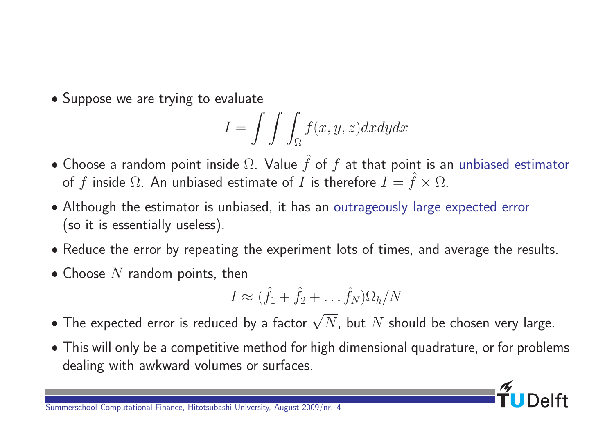• Suppose we are trying to evaluate

$$
I = \int \int \int_{\Omega} f(x, y, z) dx dy dx
$$

- Choose a random point inside  $\Omega$ . Value  $\hat{f}$  of  $f$  at that point is an unbiased estimator of f inside  $\Omega$ . An unbiased estimate of I is therefore  $I = \hat{f} \times \Omega$ .
- Although the estimator is unbiased, it has an outrageously large expected error (so it is essentially useless).
- Reduce the error by repeating the experiment lots of times, and average the results.
- Choose  $N$  random points, then

$$
I \approx (\hat{f}_1 + \hat{f}_2 + \dots + \hat{f}_N) \Omega_h / N
$$

- $\bullet$  The expected error is reduced by a factor  $\sqrt{N}.$  but  $N$  should be chosen very large.
- This will only be a competitive method for high dimensional quadrature, or for problems dealing with awkward volumes or surfaces.

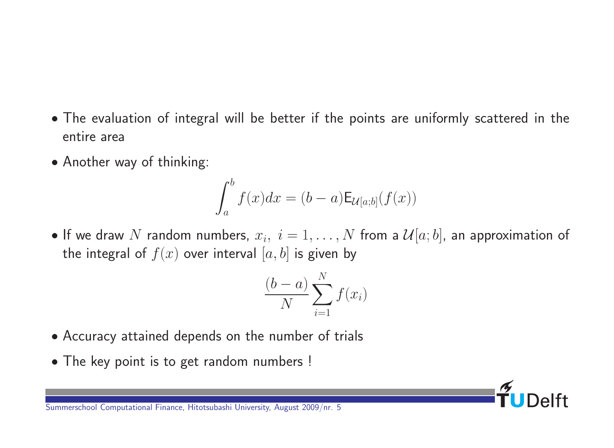- The evaluation of integral will be better if the points are uniformly scattered in the entire area
- Another way of thinking:

$$
\int_a^b f(x)dx = (b-a)\mathsf{E}_{\mathcal{U}[a;b]}(f(x))
$$

 $\bullet$  If we draw  $N$  random numbers,  $x_i, \; i=1,\ldots,N$  from a  $\mathcal{U}[a;b]$ , an approximation of the integral of  $f(x)$  over interval  $[a, b]$  is given by

$$
\frac{(b-a)}{N} \sum_{i=1}^{N} f(x_i)
$$

- Accuracy attained depends on the number of trials
- The key point is to get random numbers !

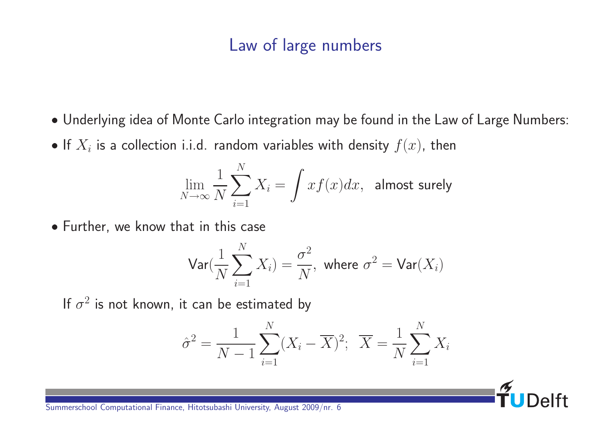#### Law of large numbers

- Underlying idea of Monte Carlo integration may be found in the Law of Large Numbers:
- $\bullet$  If  $X_i$  is a collection i.i.d. random variables with density  $f(x)$ , then

$$
\lim_{N \to \infty} \frac{1}{N} \sum_{i=1}^{N} X_i = \int x f(x) dx
$$
, almost surely

Further, we know that in this case

$$
\mathsf{Var}(\frac{1}{N}\sum_{i=1}^{N}X_i)=\frac{\sigma^2}{N}, \text{ where } \sigma^2=\mathsf{Var}(X_i)
$$

If  $\sigma^2$  is not known, it can be estimated by

$$
\hat{\sigma}^2 = \frac{1}{N-1} \sum_{i=1}^{N} (X_i - \overline{X})^2; \ \ \overline{X} = \frac{1}{N} \sum_{i=1}^{N} X_i
$$

 $\mathsf{a}$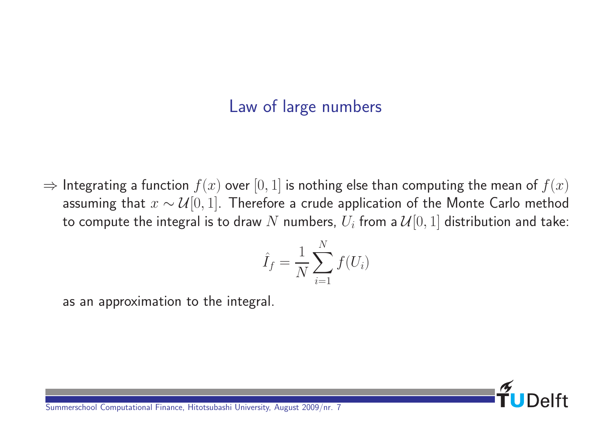#### Law of large numbers

 $\Rightarrow$  Integrating a function  $f(x)$  over  $[0, 1]$  is nothing else than computing the mean of  $f(x)$ assuming that  $x \sim \mathcal{U}[0, 1]$ . Therefore a crude application of the Monte Carlo method to compute the integral is to draw  $N$  numbers,  $U_i$  from a  $\mathcal{U}[0,1]$  distribution and take:

$$
\hat{I}_f = \frac{1}{N} \sum_{i=1}^{N} f(U_i)
$$

as an approximation to the integral.

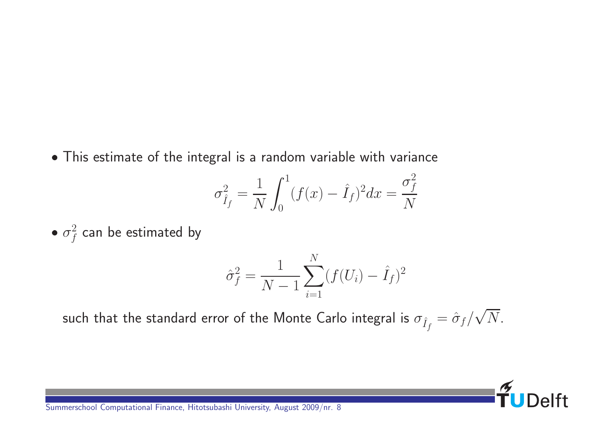This estimate of the integral is a random variable with variance

$$
\sigma_{\hat{I}_f}^2 = \frac{1}{N} \int_0^1 (f(x) - \hat{I}_f)^2 dx = \frac{\sigma_f^2}{N}
$$

 $\bullet$   $\sigma_f^2$  $\frac{2}{f}$  can be estimated by

$$
\hat{\sigma}_f^2 = \frac{1}{N-1} \sum_{i=1}^N (f(U_i) - \hat{I}_f)^2
$$

such that the standard error of the Monte Carlo integral is  $\sigma_{\hat{I}_f}=\hat{\sigma}_f/$ √  $N$ .

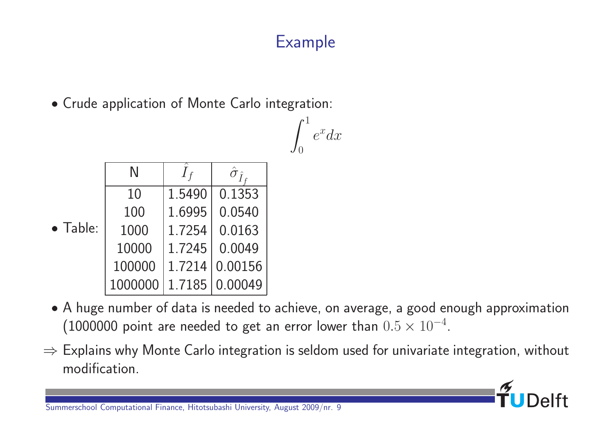# Example

Crude application of Monte Carlo integration:

|                | $e^x dx$ |
|----------------|----------|
| $\overline{0}$ |          |

|                  | N       | $I_f$  | $\hat{\sigma}_{\hat{I}}$ |
|------------------|---------|--------|--------------------------|
| $\bullet$ Table: | 10      | 1.5490 | 0.1353                   |
|                  | 100     | 1.6995 | 0.0540                   |
|                  | 1000    | 1.7254 | 0.0163                   |
|                  | 10000   | 1.7245 | 0.0049                   |
|                  | 100000  | 1.7214 | 0.00156                  |
|                  | 1000000 | 1.7185 | 0.00049                  |

- A huge number of data is needed to achieve, on average, a good enough approximation  $(1000000$  point are needed to get an error lower than  $0.5 \times 10^{-4}.$
- $\Rightarrow$  Explains why Monte Carlo integration is seldom used for univariate integration, without modification.

 $\overline{e}$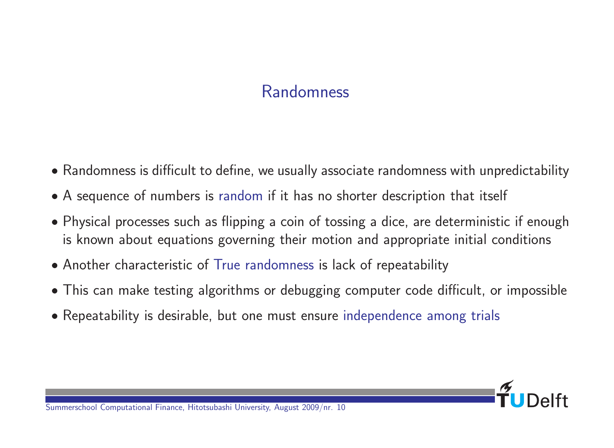# Randomness

- Randomness is difficult to define, we usually associate randomness with unpredictability
- A sequence of numbers is random if it has no shorter description that itself
- Physical processes such as flipping a coin of tossing a dice, are deterministic if enough is known about equations governing their motion and appropriate initial conditions
- Another characteristic of True randomness is lack of repeatability
- This can make testing algorithms or debugging computer code difficult, or impossible
- Repeatability is desirable, but one must ensure independence among trials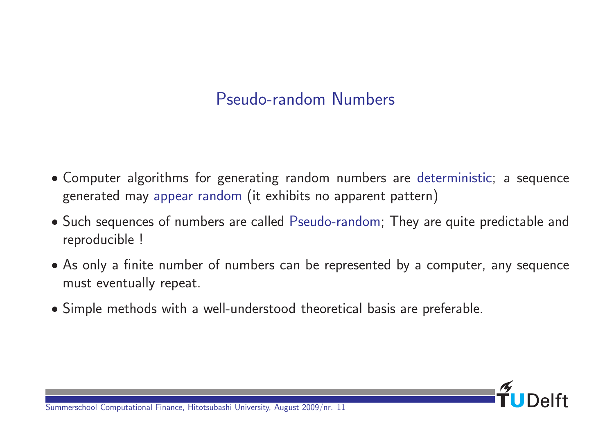# Pseudo-random Numbers

- Computer algorithms for generating random numbers are deterministic; a sequence generated may appear random (it exhibits no apparent pattern)
- Such sequences of numbers are called Pseudo-random; They are quite predictable and reproducible !
- As only a finite number of numbers can be represented by a computer, any sequence must eventually repeat.
- Simple methods with a well-understood theoretical basis are preferable.

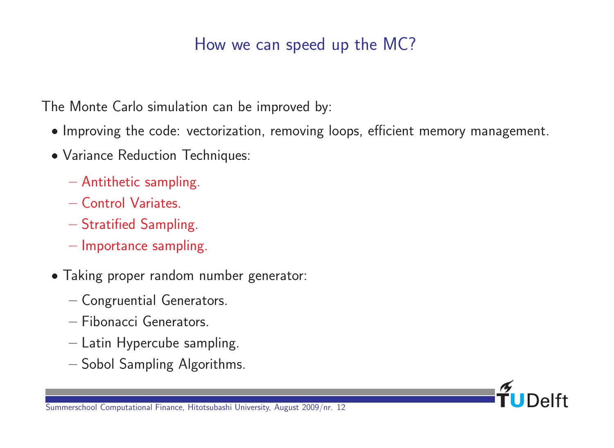# How we can speed up the MC?

The Monte Carlo simulation can be improved by:

- Improving the code: vectorization, removing loops, efficient memory management.
- Variance Reduction Techniques:
	- Antithetic sampling.
	- Control Variates.
	- Stratified Sampling.
	- Importance sampling.
- Taking proper random number generator:
	- Congruential Generators.
	- Fibonacci Generators.
	- Latin Hypercube sampling.
	- Sobol Sampling Algorithms.

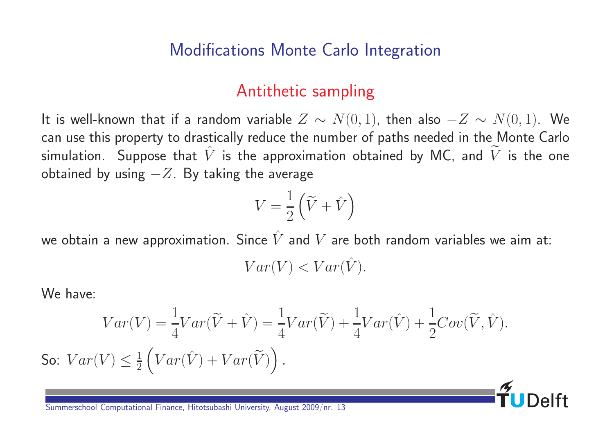#### Modifications Monte Carlo Integration

#### Antithetic sampling

It is well-known that if a random variable  $Z \sim N(0, 1)$ , then also  $-Z \sim N(0, 1)$ . We can use this property to drastically reduce the number of paths needed in the Monte Carlo simulation. Suppose that  $\hat{V}$  is the approximation obtained by MC, and  $\tilde{V}$  is the one obtained by using  $-Z$ . By taking the average

$$
V = \frac{1}{2} \left( \tilde{V} + \hat{V} \right)
$$

we obtain a new approximation. Since  $\hat{V}$  and  $V$  are both random variables we aim at:

$$
Var(V) < Var(\hat{V}).
$$

We have:

$$
Var(V) = \frac{1}{4}Var(\tilde{V} + \hat{V}) = \frac{1}{4}Var(\tilde{V}) + \frac{1}{4}Var(\hat{V}) + \frac{1}{2}Cov(\tilde{V}, \hat{V}).
$$
  
So:  $Var(V) \le \frac{1}{2} \left( Var(\hat{V}) + Var(\tilde{V}) \right).$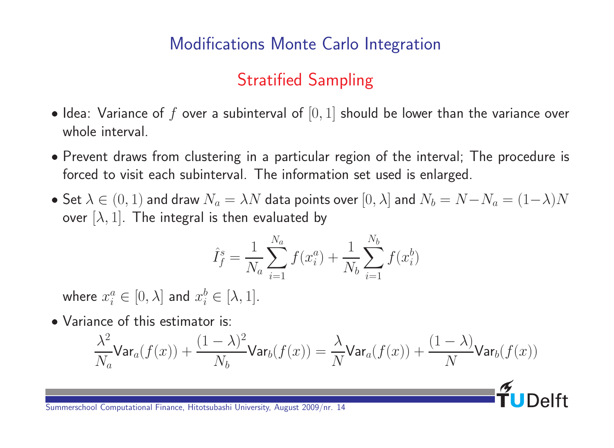#### Modifications Monte Carlo Integration

# Stratified Sampling

- Idea: Variance of f over a subinterval of  $[0, 1]$  should be lower than the variance over whole interval.
- Prevent draws from clustering in a particular region of the interval; The procedure is forced to visit each subinterval. The information set used is enlarged.
- Set  $\lambda \in (0,1)$  and draw  $N_a = \lambda N$  data points over  $[0,\lambda]$  and  $N_b = N N_a = (1-\lambda)N$ over  $[\lambda, 1]$ . The integral is then evaluated by

$$
\hat{I}_f^s = \frac{1}{N_a} \sum_{i=1}^{N_a} f(x_i^a) + \frac{1}{N_b} \sum_{i=1}^{N_b} f(x_i^b)
$$

where  $x_i^a \in [0, \lambda]$  and  $x_i^b \in [\lambda, 1]$ .

• Variance of this estimator is:

$$
\frac{\lambda^2}{N_a}\textsf{Var}_a(f(x))+\frac{(1-\lambda)^2}{N_b}\textsf{Var}_b(f(x))=\frac{\lambda}{N}\textsf{Var}_a(f(x))+\frac{(1-\lambda)}{N}\textsf{Var}_b(f(x))
$$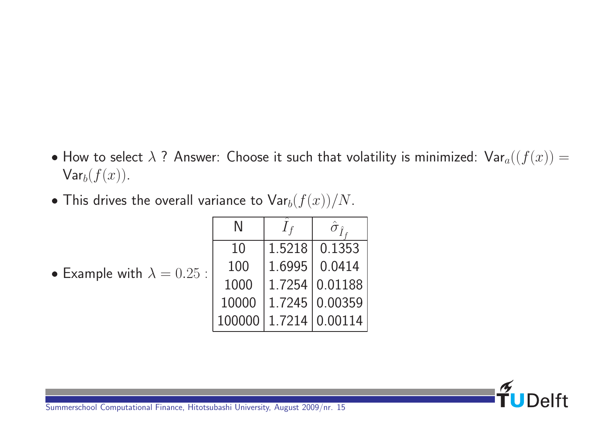- How to select  $\lambda$  ? Answer: Choose it such that volatility is minimized:  $\mathsf{Var}_a((f(x)) =$  $\mathsf{Var}_b(f(x)).$
- $\bullet$  This drives the overall variance to  $\textsf{Var}_b(f(x))/N$ .

|                                   |        | $\hat{r}$             |
|-----------------------------------|--------|-----------------------|
|                                   | 10     | 1.5218 0.1353         |
| • Example with $\lambda = 0.25$ : | 100    | 1.6995   0.0414       |
|                                   | 1000   | 1.7254 0.01188        |
|                                   | 10000  | 1.7245 0.00359        |
|                                   | 100000 | $1.7214 \mid 0.00114$ |

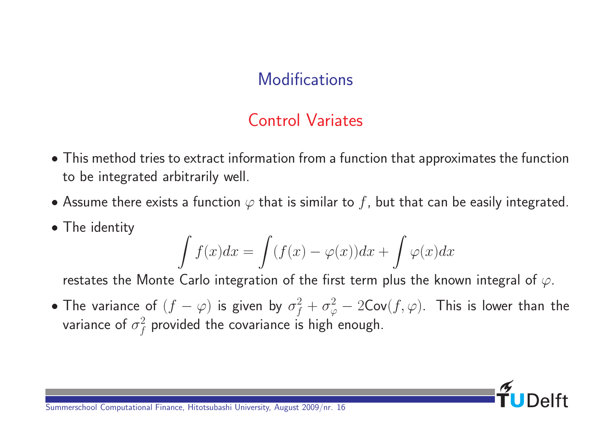#### **Modifications**

#### Control Variates

- This method tries to extract information from a function that approximates the function to be integrated arbitrarily well.
- Assume there exists a function  $\varphi$  that is similar to f, but that can be easily integrated.
- The identity

$$
\int f(x)dx = \int (f(x) - \varphi(x))dx + \int \varphi(x)dx
$$

restates the Monte Carlo integration of the first term plus the known integral of  $\varphi$ .

• The variance of  $(f-\varphi)$  is given by  $\sigma_f^2+\sigma_\varphi^2-2\mathsf{Cov}(f,\varphi).$  This is lower than the variance of  $\sigma_f^2$  $\frac{2}{f}$  provided the covariance is high enough.

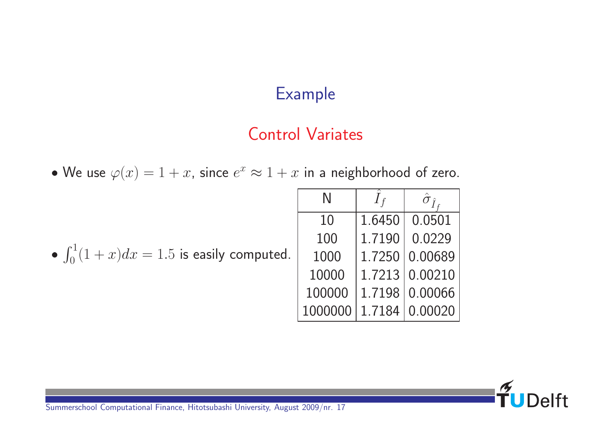# Example

#### Control Variates

• We use  $\varphi(x) = 1 + x$ , since  $e^x \approx 1 + x$  in a neighborhood of zero.

|                                                 | N                      | $\hat{\sigma}_{\hat{\tau}}$ |
|-------------------------------------------------|------------------------|-----------------------------|
|                                                 | 10                     | 1.6450 0.0501               |
|                                                 | 100                    | 1.7190 0.0229               |
| • $\int_0^1 (1+x) dx = 1.5$ is easily computed. | 1000                   | 1.7250 0.00689              |
|                                                 | 10000                  | 1.7213   0.00210            |
|                                                 | 100000                 | 1.7198   0.00066            |
|                                                 | 1000000 1.7184 0.00020 |                             |

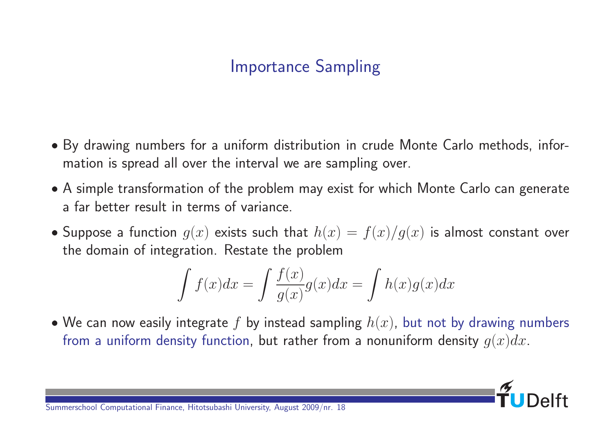# Importance Sampling

- By drawing numbers for a uniform distribution in crude Monte Carlo methods, information is spread all over the interval we are sampling over.
- A simple transformation of the problem may exist for which Monte Carlo can generate a far better result in terms of variance.
- Suppose a function  $g(x)$  exists such that  $h(x) = f(x)/g(x)$  is almost constant over the domain of integration. Restate the problem

$$
\int f(x)dx = \int \frac{f(x)}{g(x)}g(x)dx = \int h(x)g(x)dx
$$

• We can now easily integrate f by instead sampling  $h(x)$ , but not by drawing numbers from a uniform density function, but rather from a nonuniform density  $g(x)dx$ .

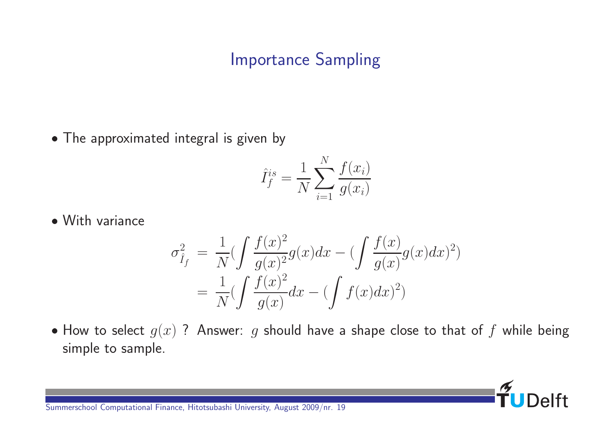# Importance Sampling

• The approximated integral is given by

$$
\hat{I}_f^{is} = \frac{1}{N} \sum_{i=1}^N \frac{f(x_i)}{g(x_i)}
$$

With variance

$$
\sigma_{\hat{I}_f}^2 = \frac{1}{N} \left( \int \frac{f(x)^2}{g(x)^2} g(x) dx - \left( \int \frac{f(x)}{g(x)} g(x) dx \right)^2 \right)
$$

$$
= \frac{1}{N} \left( \int \frac{f(x)^2}{g(x)} dx - \left( \int f(x) dx \right)^2 \right)
$$

• How to select  $g(x)$  ? Answer: g should have a shape close to that of f while being simple to sample.

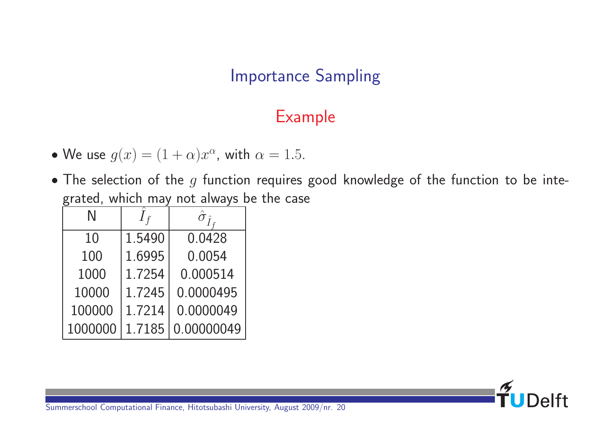# Importance Sampling

# Example

- We use  $g(x) = (1 + \alpha)x^{\alpha}$ , with  $\alpha = 1.5$ .
- $\bullet$  The selection of the  $g$  function requires good knowledge of the function to be integrated, which may not always be the case

| N       | $I_f$  | $\hat{t}$  |
|---------|--------|------------|
| 10      | 1.5490 | 0.0428     |
| 100     | 1.6995 | 0.0054     |
| 1000    | 1.7254 | 0.000514   |
| 10000   | 1.7245 | 0.0000495  |
| 100000  | 1.7214 | 0.0000049  |
| 1000000 | 1.7185 | 0.00000049 |

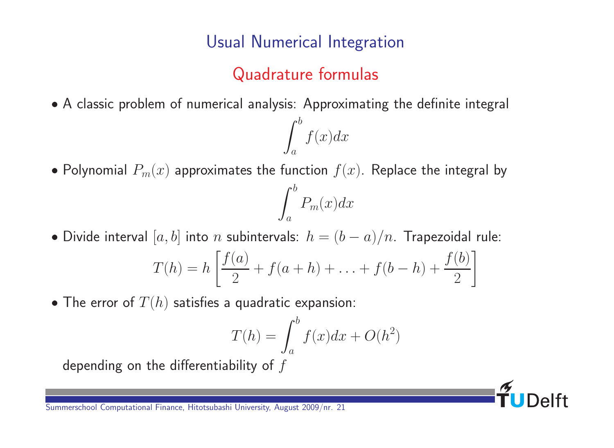#### Usual Numerical Integration

# Quadrature formulas

 $f(x)dx$ 

A classic problem of numerical analysis: Approximating the definite integral

 $\int^b$ 

 $\alpha$ 

• Polynomial  $P_m(x)$  approximates the function  $f(x)$ . Replace the integral by



 $\int^b$ 

$$
T(h) = h \left[ \frac{f(a)}{2} + f(a+h) + \ldots + f(b-h) + \frac{f(b)}{2} \right]
$$

• The error of  $T(h)$  satisfies a quadratic expansion:

$$
T(h) = \int_{a}^{b} f(x)dx + O(h^2)
$$

depending on the differentiability of  $f$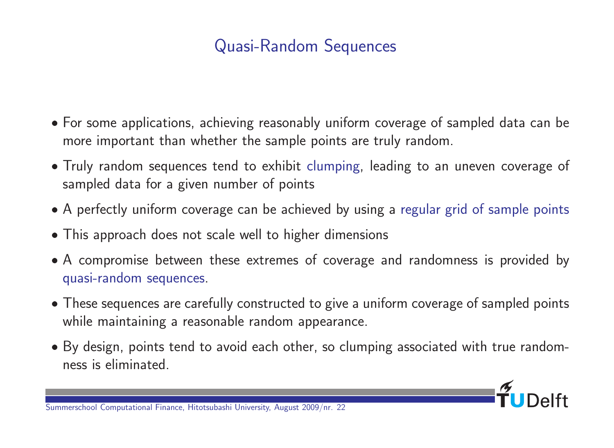# Quasi-Random Sequences

- For some applications, achieving reasonably uniform coverage of sampled data can be more important than whether the sample points are truly random.
- Truly random sequences tend to exhibit clumping, leading to an uneven coverage of sampled data for a given number of points
- A perfectly uniform coverage can be achieved by using a regular grid of sample points
- This approach does not scale well to higher dimensions
- A compromise between these extremes of coverage and randomness is provided by quasi-random sequences.
- These sequences are carefully constructed to give a uniform coverage of sampled points while maintaining a reasonable random appearance.
- By design, points tend to avoid each other, so clumping associated with true randomness is eliminated.

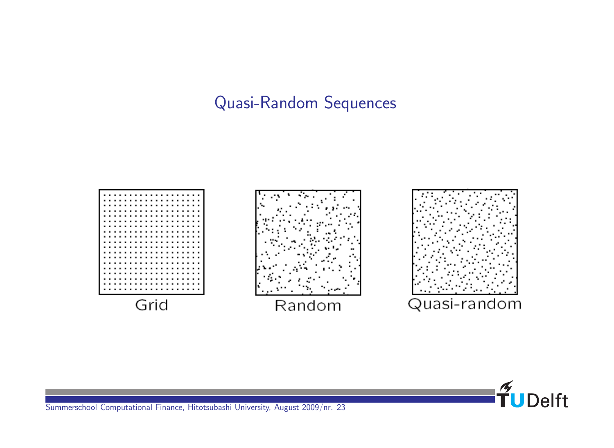#### Quasi-Random Sequences



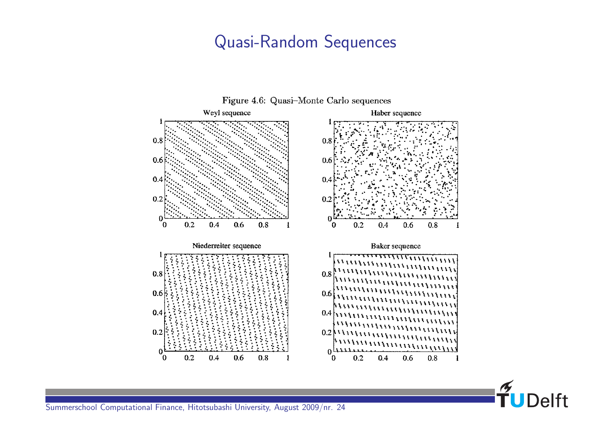#### Quasi-Random Sequences



FUDelft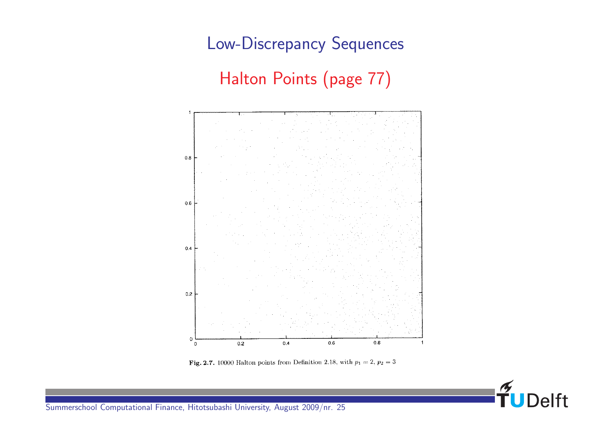# Low-Discrepancy Sequences Halton Points (page 77)



Fig. 2.7. 10000 Halton points from Definition 2.18, with  $p_1 = 2$ ,  $p_2 = 3$ 

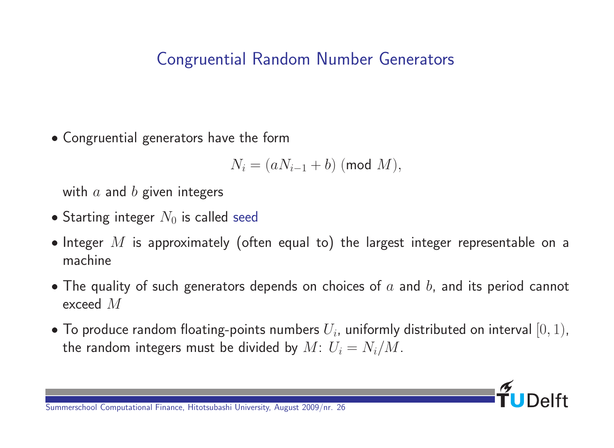# Congruential Random Number Generators

Congruential generators have the form

$$
N_i = (aN_{i-1} + b) \pmod{M},
$$

with  $a$  and  $b$  given integers

- Starting integer  $N_0$  is called seed
- Integer  $M$  is approximately (often equal to) the largest integer representable on a machine
- The quality of such generators depends on choices of  $a$  and  $b$ , and its period cannot exceed M
- $\bullet$  To produce random floating-points numbers  $U_i$ , uniformly distributed on interval  $[0,1)$ , the random integers must be divided by  $M: U_i = N_i/M$ .

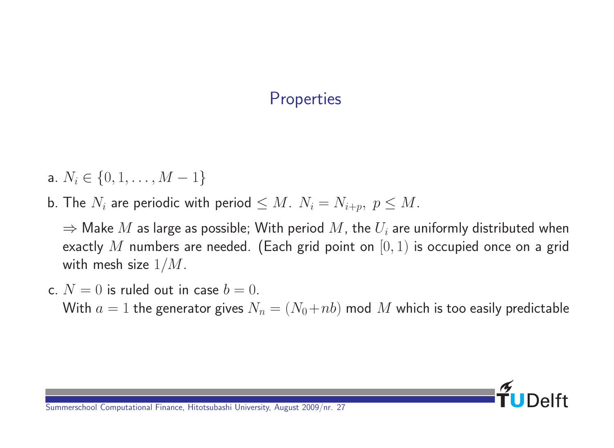#### **Properties**

- a.  $N_i \in \{0, 1, \ldots, M-1\}$
- b. The  $N_i$  are periodic with period  $\leq M$ .  $N_i = N_{i+p}, p \leq M$ .

 $\Rightarrow$  Make  $M$  as large as possible; With period  $M$ , the  $U_i$  are uniformly distributed when exactly  $M$  numbers are needed. (Each grid point on  $[0, 1)$  is occupied once on a grid with mesh size  $1/M$ .

c.  $N = 0$  is ruled out in case  $b = 0$ . With  $a = 1$  the generator gives  $N_n = (N_0 + nb)$  mod M which is too easily predictable

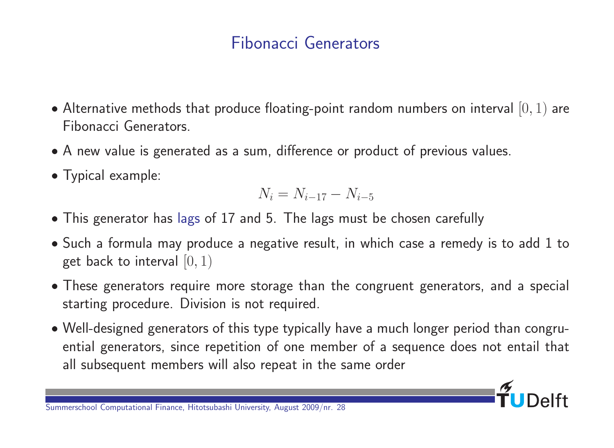# Fibonacci Generators

- Alternative methods that produce floating-point random numbers on interval  $[0, 1)$  are Fibonacci Generators.
- A new value is generated as a sum, difference or product of previous values.
- Typical example:

$$
N_i = N_{i-17} - N_{i-5}
$$

- This generator has lags of 17 and 5. The lags must be chosen carefully
- Such a formula may produce a negative result, in which case a remedy is to add 1 to get back to interval  $[0, 1)$
- These generators require more storage than the congruent generators, and a special starting procedure. Division is not required.
- Well-designed generators of this type typically have a much longer period than congruential generators, since repetition of one member of a sequence does not entail that all subsequent members will also repeat in the same order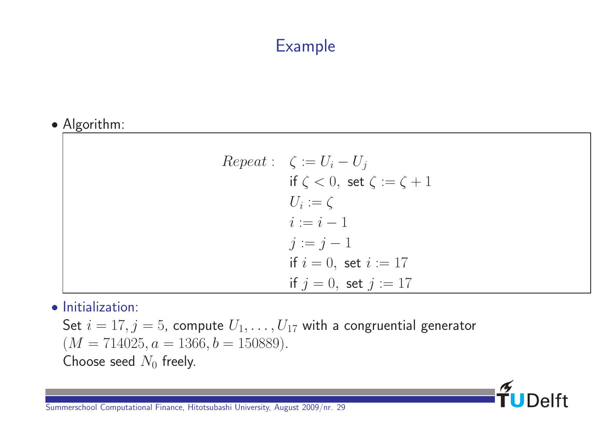# Example

#### Algorithm:

| $Repeat: \ \ \zeta := U_i - U_j$          |
|-------------------------------------------|
| if $\zeta < 0$ , set $\zeta := \zeta + 1$ |
| $U_i := \zeta$                            |
| $i := i - 1$                              |
| $j := j - 1$                              |
| if $i = 0$ , set $i := 17$                |
| if $j = 0$ , set $j := 17$                |

 $\mathbf{f}_1$ 

**Delft** 

#### **•** Initialization:

Set  $i = 17, j = 5$ , compute  $U_1, \ldots, U_{17}$  with a congruential generator  $(M = 714025, a = 1366, b = 150889).$ Choose seed  $N_0$  freely.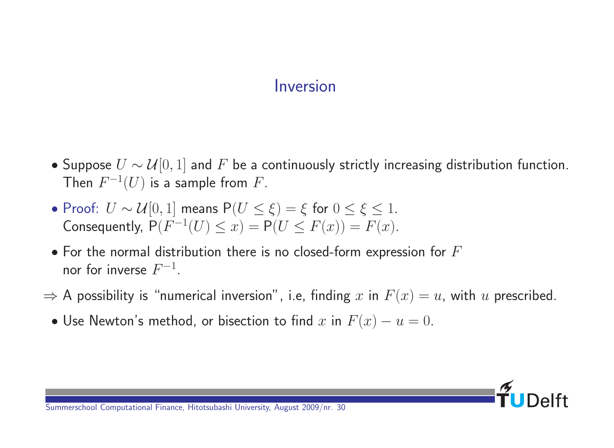#### Inversion

- Suppose  $U \sim \mathcal{U}[0, 1]$  and F be a continuously strictly increasing distribution function. Then  $F^{-1}(U)$  is a sample from  $F.$
- Proof:  $U \sim \mathcal{U}[0, 1]$  means  $P(U \leq \xi) = \xi$  for  $0 \leq \xi \leq 1$ . Consequently,  $P(F^{-1}(U) \le x) = P(U \le F(x)) = F(x)$ .
- $\bullet$  For the normal distribution there is no closed-form expression for  $F$ nor for inverse  $F^{-1}$ .
- $\Rightarrow$  A possibility is "numerical inversion", i.e, finding x in  $F(x) = u$ , with u prescribed.
	- Use Newton's method, or bisection to find x in  $F(x) u = 0$ .

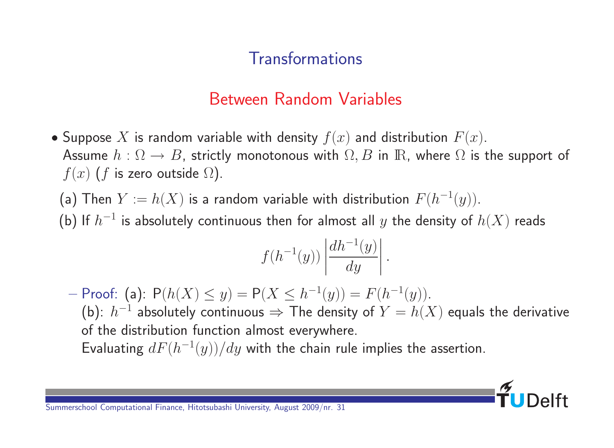# **Transformations**

# Between Random Variables

- Suppose X is random variable with density  $f(x)$  and distribution  $F(x)$ . Assume  $h : \Omega \to B$ , strictly monotonous with  $\Omega, B$  in  $\mathbb{R}$ , where  $\Omega$  is the support of  $f(x)$  (f is zero outside  $\Omega$ ).
	- (a) Then  $Y := h(X)$  is a random variable with distribution  $F(h^{-1}(y))$ .
	- (b) If  $h^{-1}$  is absolutely continuous then for almost all  $y$  the density of  $h(X)$  reads

$$
f(h^{-1}(y))\left|\frac{dh^{-1}(y)}{dy}\right|.
$$

– Proof: (a):  $P(h(X) ≤ y) = P(X ≤ h^{-1}(y)) = F(h^{-1}(y)).$ (b):  $h^{-1}$  absolutely continuous  $\Rightarrow$  The density of  $Y = h(X)$  equals the derivative of the distribution function almost everywhere. Evaluating  $dF(h^{-1}(y))/dy$  with the chain rule implies the assertion.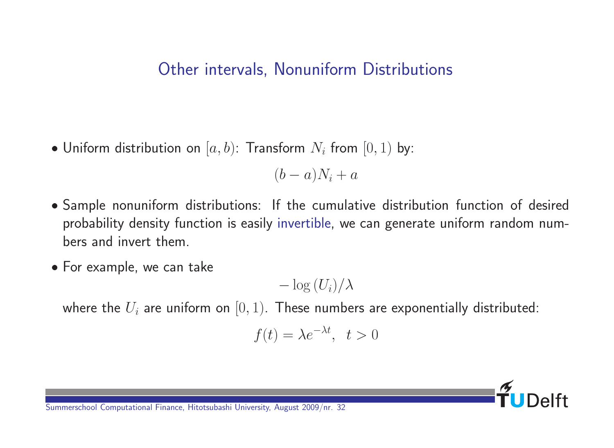#### Other intervals, Nonuniform Distributions

 $\bullet$  Uniform distribution on  $[a,b)$ : Transform  $N_i$  from  $[0,1)$  by:

 $(b-a)N_i + a$ 

- Sample nonuniform distributions: If the cumulative distribution function of desired probability density function is easily invertible, we can generate uniform random numbers and invert them.
- For example, we can take

 $-\log(U_i)/\lambda$ 

where the  $U_i$  are uniform on  $[0, 1)$ . These numbers are exponentially distributed:

$$
f(t) = \lambda e^{-\lambda t}, \quad t > 0
$$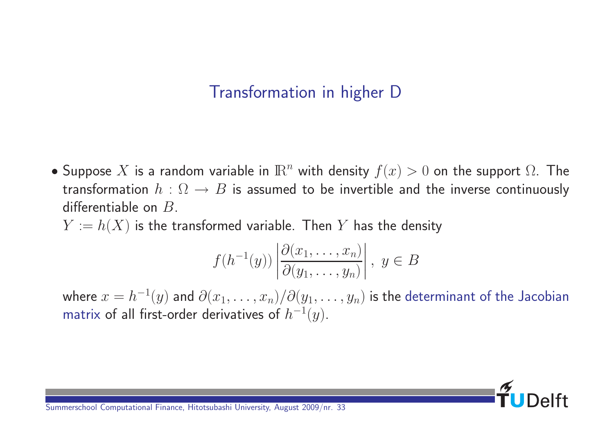# Transformation in higher D

- Suppose X is a random variable in  $\mathbb{R}^n$  with density  $f(x) > 0$  on the support  $\Omega$ . The transformation  $h : \Omega \rightarrow B$  is assumed to be invertible and the inverse continuously differentiable on  $B$ .
	- $Y := h(X)$  is the transformed variable. Then Y has the density

$$
f(h^{-1}(y))\left|\frac{\partial(x_1,\ldots,x_n)}{\partial(y_1,\ldots,y_n)}\right|,\ y\in B
$$

where  $x=h^{-1}(y)$  and  $\partial(x_1,\ldots,x_n)/\partial(y_1,\ldots,y_n)$  is the determinant of the Jacobian matrix of all first-order derivatives of  $h^{-1}(y).$ 

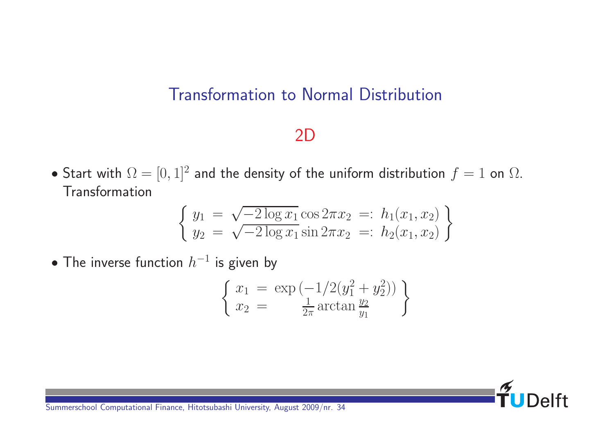#### Transformation to Normal Distribution

#### 2D

• Start with  $\Omega = [0,1]^2$  and the density of the uniform distribution  $f = 1$  on  $\Omega$ . **Transformation** 

$$
\begin{cases} y_1 = \sqrt{-2 \log x_1} \cos 2\pi x_2 =: h_1(x_1, x_2) \\ y_2 = \sqrt{-2 \log x_1} \sin 2\pi x_2 =: h_2(x_1, x_2) \end{cases}
$$

 $\bullet$  The inverse function  $h^{-1}$  is given by

$$
\begin{cases} x_1 = \exp(-1/2(y_1^2 + y_2^2)) \\ x_2 = \frac{1}{2\pi} \arctan \frac{y_2}{y_1} \end{cases}
$$

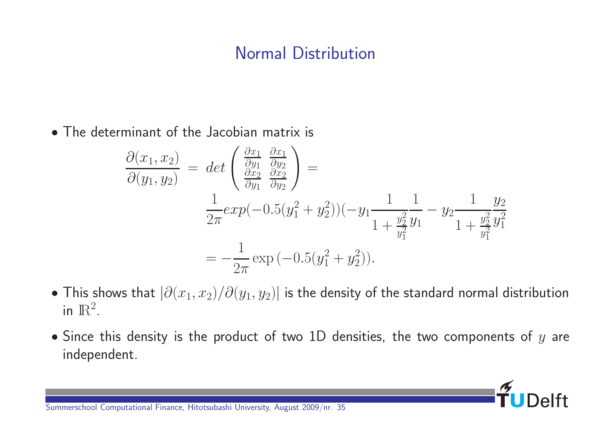#### Normal Distribution

The determinant of the Jacobian matrix is

$$
\frac{\partial(x_1, x_2)}{\partial(y_1, y_2)} = det \left( \frac{\frac{\partial x_1}{\partial y_1}}{\frac{\partial x_2}{\partial y_1}} \frac{\frac{\partial x_1}{\partial y_2}}{\frac{\partial x_2}{\partial y_2}} \right) =
$$
\n
$$
\frac{1}{2\pi} exp(-0.5(y_1^2 + y_2^2)) (-y_1 \frac{1}{1 + \frac{y_2^2}{y_1^2}} \frac{1}{y_1} - y_2 \frac{1}{1 + \frac{y_2^2}{y_1^2}} \frac{y_2}{y_1^2}
$$
\n
$$
= -\frac{1}{2\pi} exp(-0.5(y_1^2 + y_2^2)).
$$

- This shows that  $|\partial(x_1,x_2)/\partial(y_1,y_2)|$  is the density of the standard normal distribution in  $\mathbb{R}^2$ .
- $\bullet$  Since this density is the product of two 1D densities, the two components of  $y$  are independent.

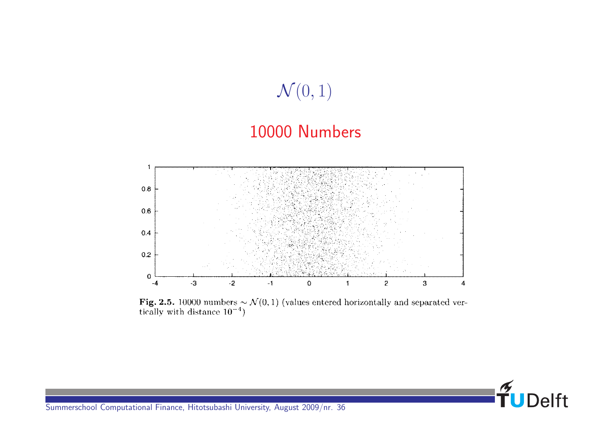

Fig. 2.5. 10000 numbers  $\sim \mathcal{N}(0, 1)$  (values entered horizontally and separated vertically with distance  $10^{-4}$ )

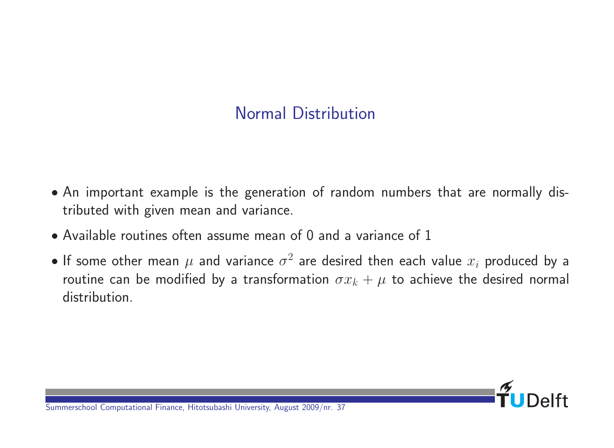## Normal Distribution

- An important example is the generation of random numbers that are normally distributed with given mean and variance.
- Available routines often assume mean of 0 and a variance of 1
- $\bullet$  If some other mean  $\mu$  and variance  $\sigma^2$  are desired then each value  $x_i$  produced by a routine can be modified by a transformation  $\sigma x_k + \mu$  to achieve the desired normal distribution.

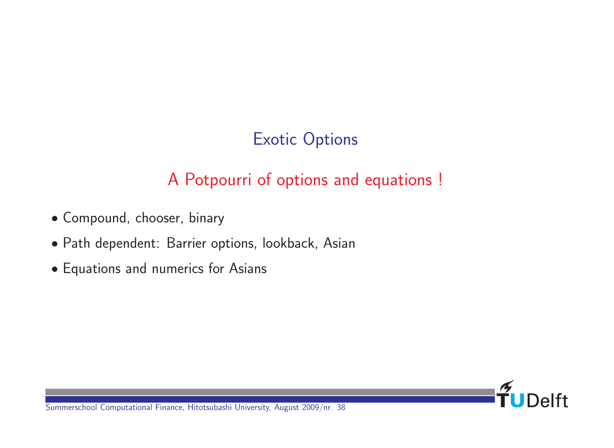# Exotic Options

# A Potpourri of options and equations !

- Compound, chooser, binary
- Path dependent: Barrier options, lookback, Asian
- Equations and numerics for Asians

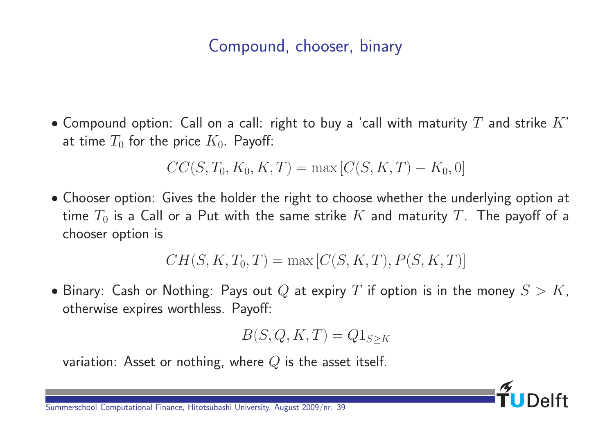## Compound, chooser, binary

• Compound option: Call on a call: right to buy a 'call with maturity  $T$  and strike  $K'$ at time  $T_0$  for the price  $K_0$ . Payoff:

$$
CC(S, T_0, K_0, K, T) = \max [C(S, K, T) - K_0, 0]
$$

• Chooser option: Gives the holder the right to choose whether the underlying option at time  $T_0$  is a Call or a Put with the same strike K and maturity T. The payoff of a chooser option is

$$
CH(S, K, T_0, T) = \max [C(S, K, T), P(S, K, T)]
$$

• Binary: Cash or Nothing: Pays out Q at expiry T if option is in the money  $S > K$ , otherwise expires worthless. Payoff:

$$
B(S, Q, K, T) = Q1_{S \geq K}
$$

variation: Asset or nothing, where  $Q$  is the asset itself.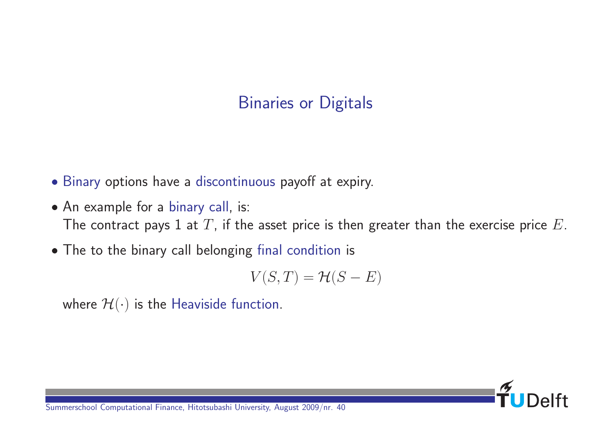## Binaries or Digitals

- Binary options have a discontinuous payoff at expiry.
- An example for a binary call, is: The contract pays 1 at  $T$ , if the asset price is then greater than the exercise price  $E$ .
- The to the binary call belonging final condition is

$$
V(S,T)=\mathcal{H}(S-E)
$$

where  $\mathcal{H}(\cdot)$  is the Heaviside function.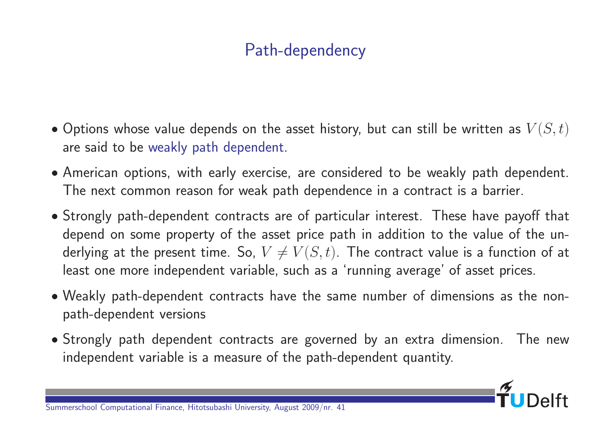# Path-dependency

- Options whose value depends on the asset history, but can still be written as  $V(S,t)$ are said to be weakly path dependent.
- American options, with early exercise, are considered to be weakly path dependent. The next common reason for weak path dependence in a contract is a barrier.
- Strongly path-dependent contracts are of particular interest. These have payoff that depend on some property of the asset price path in addition to the value of the underlying at the present time. So,  $V \neq V(S, t)$ . The contract value is a function of at least one more independent variable, such as a 'running average' of asset prices.
- Weakly path-dependent contracts have the same number of dimensions as the nonpath-dependent versions
- Strongly path dependent contracts are governed by an extra dimension. The new independent variable is a measure of the path-dependent quantity.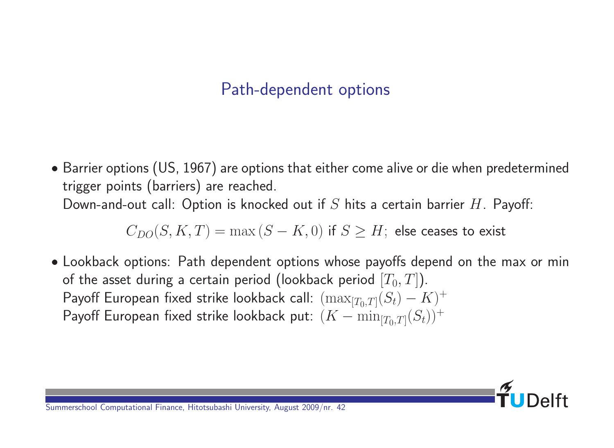### Path-dependent options

 Barrier options (US, 1967) are options that either come alive or die when predetermined trigger points (barriers) are reached. Down-and-out call: Option is knocked out if S hits a certain barrier  $H$ . Payoff:

 $C_{DO}(S, K, T) = \max(S - K, 0)$  if  $S \geq H$ ; else ceases to exist

 Lookback options: Path dependent options whose payoffs depend on the max or min of the asset during a certain period (lookback period  $[T_0, T]$ ). Payoff European fixed strike lookback call:  $(\max_{[T_0,T]}(S_t) - K)^+$ Payoff European fixed strike lookback put:  $(K-\min_{[T_0,T]}(S_t))^+$ 

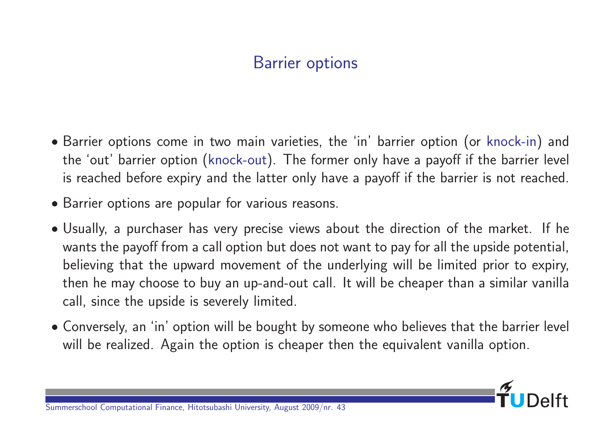## Barrier options

- Barrier options come in two main varieties, the 'in' barrier option (or knock-in) and the 'out' barrier option (knock-out). The former only have a payoff if the barrier level is reached before expiry and the latter only have a payoff if the barrier is not reached.
- Barrier options are popular for various reasons.
- Usually, a purchaser has very precise views about the direction of the market. If he wants the payoff from a call option but does not want to pay for all the upside potential, believing that the upward movement of the underlying will be limited prior to expiry, then he may choose to buy an up-and-out call. It will be cheaper than a similar vanilla call, since the upside is severely limited.
- Conversely, an 'in' option will be bought by someone who believes that the barrier level will be realized. Again the option is cheaper then the equivalent vanilla option.

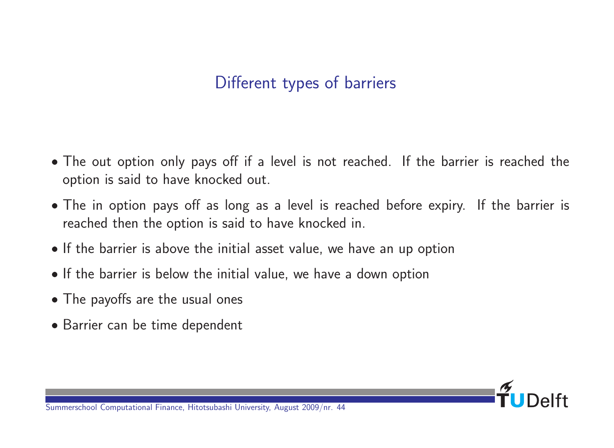### Different types of barriers

- The out option only pays off if a level is not reached. If the barrier is reached the option is said to have knocked out.
- The in option pays off as long as a level is reached before expiry. If the barrier is reached then the option is said to have knocked in.
- If the barrier is above the initial asset value, we have an up option
- If the barrier is below the initial value, we have a down option
- The payoffs are the usual ones
- Barrier can be time dependent

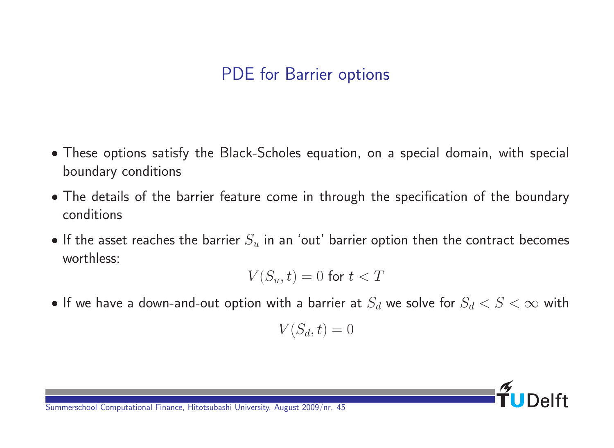### PDE for Barrier options

- These options satisfy the Black-Scholes equation, on a special domain, with special boundary conditions
- The details of the barrier feature come in through the specification of the boundary conditions
- If the asset reaches the barrier  $S_u$  in an 'out' barrier option then the contract becomes worthless:

$$
V(S_u,t)=0 \,\, \text{for}\,\, t
$$

• If we have a down-and-out option with a barrier at  $S_d$  we solve for  $S_d < S < \infty$  with

$$
V(S_d, t) = 0
$$

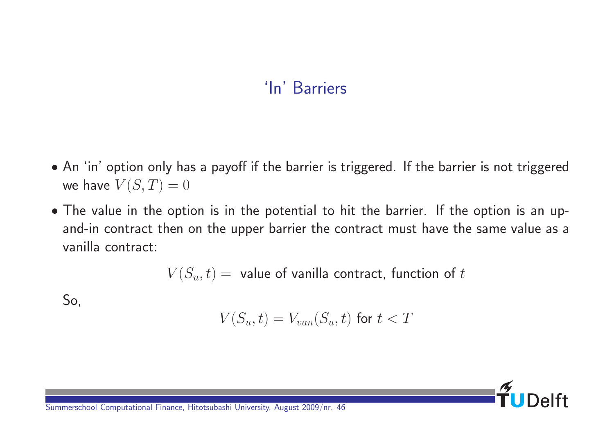# 'In' Barriers

- An 'in' option only has a payoff if the barrier is triggered. If the barrier is not triggered we have  $V(S,T) = 0$
- The value in the option is in the potential to hit the barrier. If the option is an upand-in contract then on the upper barrier the contract must have the same value as a vanilla contract:

 $V(S_u, t) =$  value of vanilla contract, function of t

So,

$$
V(S_u,t)=V_{van}(S_u,t) \text{ for } t
$$

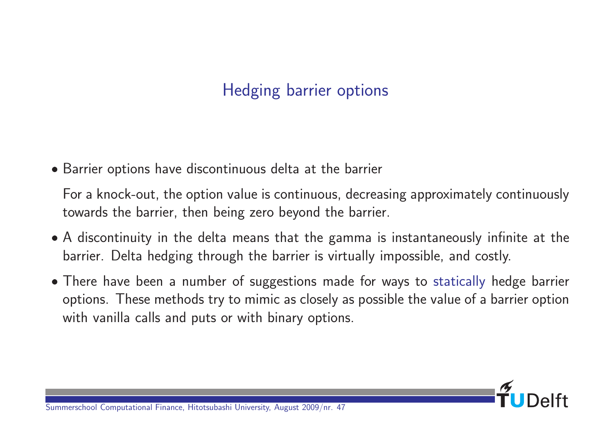## Hedging barrier options

Barrier options have discontinuous delta at the barrier

For a knock-out, the option value is continuous, decreasing approximately continuously towards the barrier, then being zero beyond the barrier.

- A discontinuity in the delta means that the gamma is instantaneously infinite at the barrier. Delta hedging through the barrier is virtually impossible, and costly.
- There have been a number of suggestions made for ways to statically hedge barrier options. These methods try to mimic as closely as possible the value of a barrier option with vanilla calls and puts or with binary options.

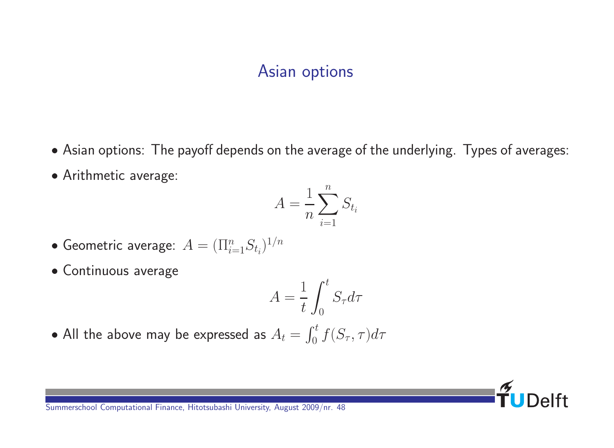#### Asian options

- Asian options: The payoff depends on the average of the underlying. Types of averages:
- Arithmetic average:

$$
A = \frac{1}{n} \sum_{i=1}^{n} S_{t_i}
$$

- $\bullet$  Geometric average:  $A=(\Pi_{i=1}^{n}S_{t_{i}})^{1/n}$
- Continuous average

$$
A = \frac{1}{t} \int_0^t S_\tau d\tau
$$

 $\bullet$  All the above may be expressed as  $A_t = \int_0^t$  $\int_0^{\tau} f(S_{\tau}, \tau) d\tau$ 

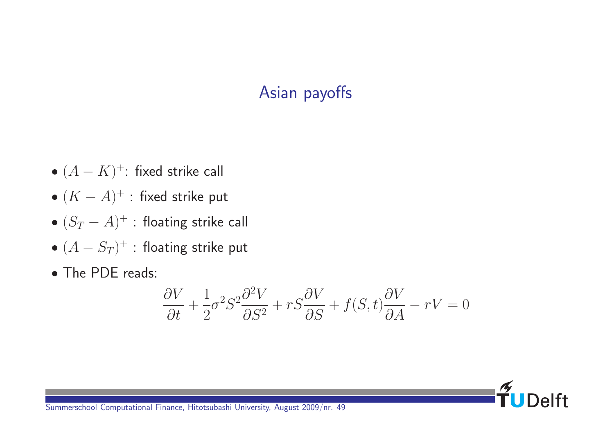### Asian payoffs

- $\bullet$   $(A K)^+$ : fixed strike call
- $\bullet$   $(K-A)^+$  : fixed strike put
- $\bullet$   $(S_T A)^+$  : floating strike call
- $\bullet$   $(A S_T)^+$  : floating strike put
- The PDE reads:

$$
\frac{\partial V}{\partial t} + \frac{1}{2}\sigma^2 S^2 \frac{\partial^2 V}{\partial S^2} + rS \frac{\partial V}{\partial S} + f(S, t) \frac{\partial V}{\partial A} - rV = 0
$$

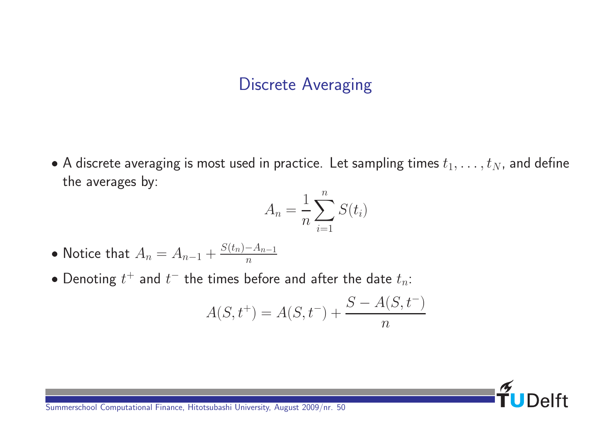### Discrete Averaging

 $\bullet$  A discrete averaging is most used in practice. Let sampling times  $t_1, \ldots, t_N$ , and define the averages by:

$$
A_n = \frac{1}{n} \sum_{i=1}^n S(t_i)
$$

- Notice that  $A_n = A_{n-1} + \frac{S(t_n) A_{n-1}}{n}$  $\overline{n}$
- $\bullet$  Denoting  $t^+$  and  $t^-$  the times before and after the date  $t_n$ :

$$
A(S, t^+) = A(S, t^-) + \frac{S - A(S, t^-)}{n}
$$

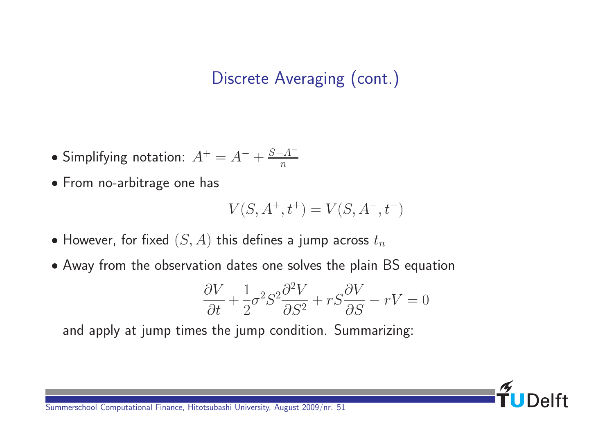## Discrete Averaging (cont.)

- Simplifying notation:  $A^+ = A^- + \frac{S-A^-}{n}$  $\overline{n}$
- From no-arbitrage one has

$$
V(S,A^+,t^+) = V(S,A^-,t^-)
$$

- However, for fixed  $(S, A)$  this defines a jump across  $t_n$
- Away from the observation dates one solves the plain BS equation

$$
\frac{\partial V}{\partial t} + \frac{1}{2}\sigma^2 S^2 \frac{\partial^2 V}{\partial S^2} + rS \frac{\partial V}{\partial S} - rV = 0
$$

and apply at jump times the jump condition. Summarizing: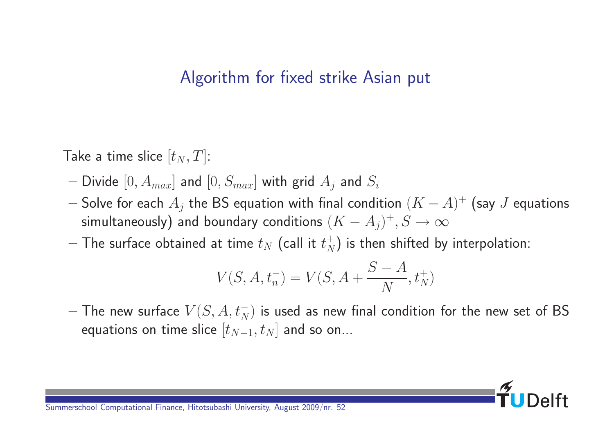#### Algorithm for fixed strike Asian put

Take a time slice  $[t_N, T]$ :

- Divide  $[0, A_{max}]$  and  $[0, S_{max}]$  with grid  $A_i$  and  $S_i$
- $-$  Solve for each  $A_j$  the BS equation with final condition  $(K-A)^+$  (say  $J$  equations simultaneously) and boundary conditions  $(K-A_j)^+, S \to \infty$
- $-$  The surface obtained at time  $t_N$  (call it  $t_N^\pm$  $_{N}^{+})$  is then shifted by interpolation:

$$
V(S, A, t_n^-) = V(S, A + \frac{S - A}{N}, t_N^+)
$$

 $-$  The new surface  $V(S, A, t_N^-)$  is used as new final condition for the new set of BS equations on time slice  $[t_{N-1}, t_N]$  and so on...

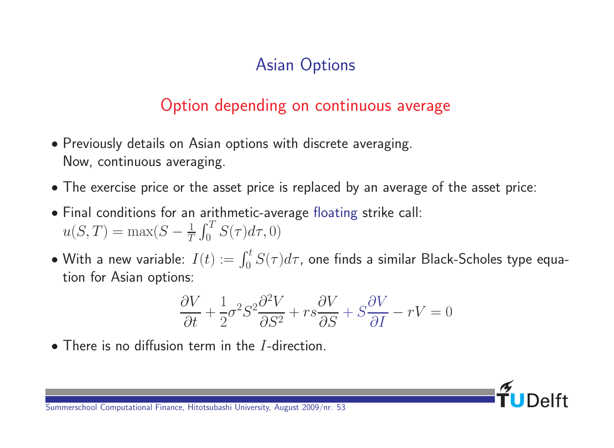# Asian Options

### Option depending on continuous average

- Previously details on Asian options with discrete averaging. Now, continuous averaging.
- The exercise price or the asset price is replaced by an average of the asset price:
- Final conditions for an arithmetic-average floating strike call:  $u(S,T) = \max(S - \frac{1}{T})$  $\mathcal I$  $\int_{0}^{T}$  $\int_{0}^{1} S(\tau)d\tau, 0$
- $\bullet$  With a new variable:  $I(t):=\int_0^t S(\tau)d\tau$ , one finds a similar Black-Scholes type equation for Asian options:

$$
\frac{\partial V}{\partial t} + \frac{1}{2}\sigma^2 S^2 \frac{\partial^2 V}{\partial S^2} + rs \frac{\partial V}{\partial S} + S \frac{\partial V}{\partial I} - rV = 0
$$

• There is no diffusion term in the *I*-direction.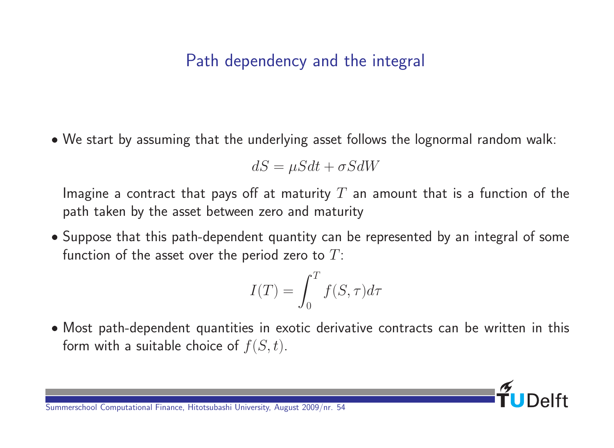#### Path dependency and the integral

We start by assuming that the underlying asset follows the lognormal random walk:

$$
dS = \mu S dt + \sigma S dW
$$

Imagine a contract that pays off at maturity  $T$  an amount that is a function of the path taken by the asset between zero and maturity

• Suppose that this path-dependent quantity can be represented by an integral of some function of the asset over the period zero to  $T$ :

$$
I(T) = \int_0^T f(S, \tau) d\tau
$$

 Most path-dependent quantities in exotic derivative contracts can be written in this form with a suitable choice of  $f(S, t)$ .

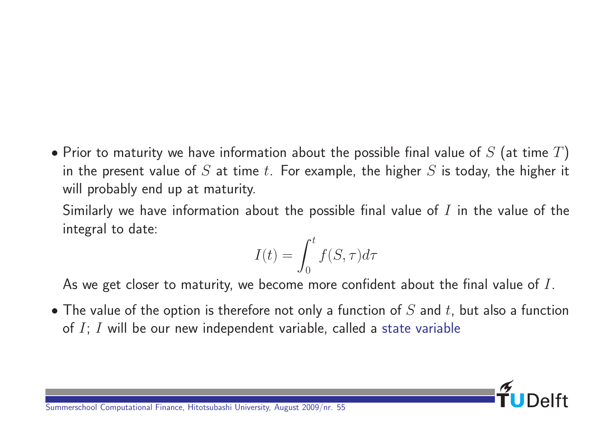• Prior to maturity we have information about the possible final value of  $S$  (at time  $T$ ) in the present value of S at time t. For example, the higher S is today, the higher it will probably end up at maturity.

Similarly we have information about the possible final value of  $I$  in the value of the integral to date:

$$
I(t) = \int_0^t f(S, \tau) d\tau
$$

As we get closer to maturity, we become more confident about the final value of  $I$ .

• The value of the option is therefore not only a function of  $S$  and  $t$ , but also a function of  $I$ ;  $I$  will be our new independent variable, called a state variable

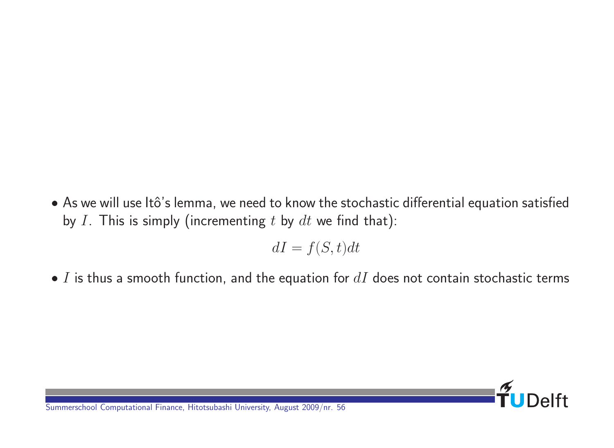• As we will use Itô's lemma, we need to know the stochastic differential equation satisfied by I. This is simply (incrementing t by  $dt$  we find that):

$$
dI = f(S, t)dt
$$

 $\bullet$  I is thus a smooth function, and the equation for  $dI$  does not contain stochastic terms

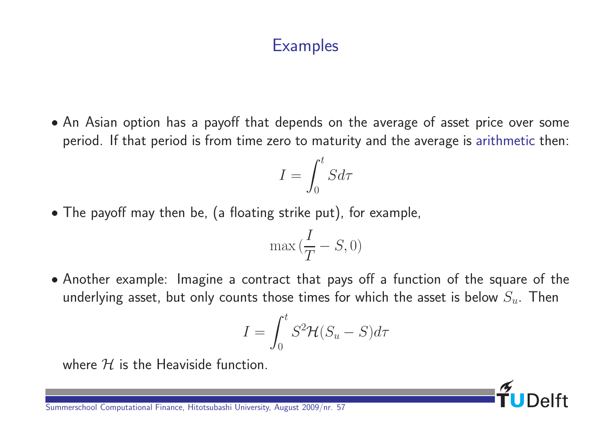#### **Examples**

 An Asian option has a payoff that depends on the average of asset price over some period. If that period is from time zero to maturity and the average is arithmetic then:

$$
I = \int_0^t S d\tau
$$

The payoff may then be, (a floating strike put), for example,

$$
\max{(\frac{I}{T}-S,0)}
$$

 Another example: Imagine a contract that pays off a function of the square of the underlying asset, but only counts those times for which the asset is below  $S_u$ . Then

$$
I = \int_0^t S^2 \mathcal{H}(S_u - S) d\tau
$$

where  $H$  is the Heaviside function.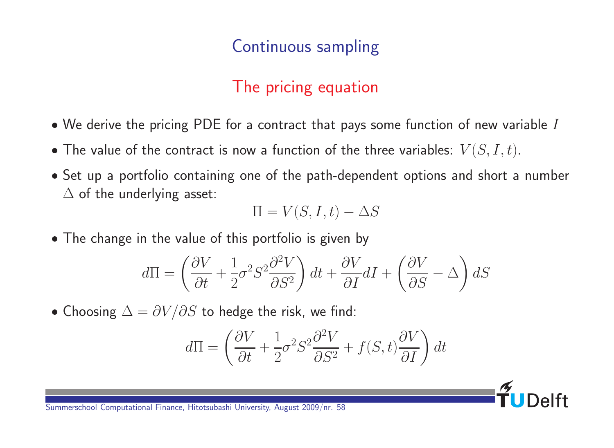### Continuous sampling

## The pricing equation

- $\bullet$  We derive the pricing PDE for a contract that pays some function of new variable  $I$
- The value of the contract is now a function of the three variables:  $V(S,I,t)$ .
- Set up a portfolio containing one of the path-dependent options and short a number  $\Delta$  of the underlying asset:

$$
\Pi = V(S, I, t) - \Delta S
$$

• The change in the value of this portfolio is given by

$$
d\Pi = \left(\frac{\partial V}{\partial t} + \frac{1}{2}\sigma^2 S^2 \frac{\partial^2 V}{\partial S^2}\right) dt + \frac{\partial V}{\partial I} dI + \left(\frac{\partial V}{\partial S} - \Delta\right) dS
$$

• Choosing  $\Delta = \partial V/\partial S$  to hedge the risk, we find:

$$
d\Pi = \left(\frac{\partial V}{\partial t} + \frac{1}{2}\sigma^2 S^2 \frac{\partial^2 V}{\partial S^2} + f(S, t) \frac{\partial V}{\partial I}\right) dt
$$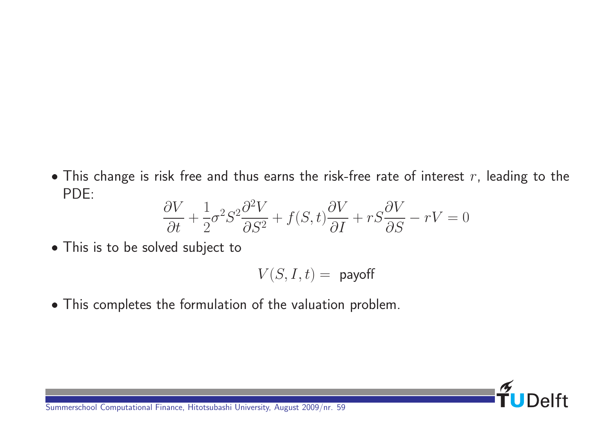$\bullet$  This change is risk free and thus earns the risk-free rate of interest  $r$ , leading to the PDE:

$$
\frac{\partial V}{\partial t} + \frac{1}{2}\sigma^2 S^2 \frac{\partial^2 V}{\partial S^2} + f(S, t) \frac{\partial V}{\partial I} + rS \frac{\partial V}{\partial S} - rV = 0
$$

This is to be solved subject to

$$
V(S,I,t) = \text{ payoff}
$$

This completes the formulation of the valuation problem.

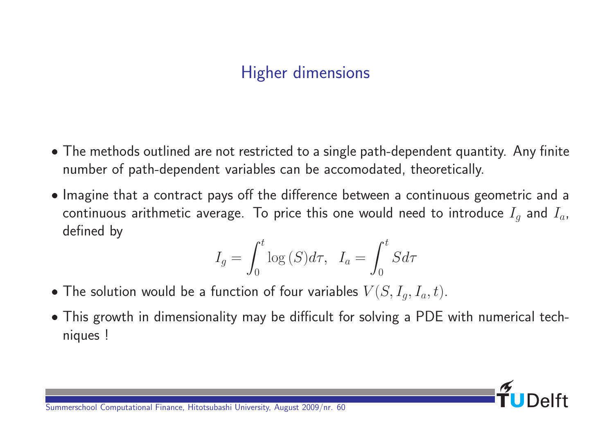### Higher dimensions

- The methods outlined are not restricted to a single path-dependent quantity. Any finite number of path-dependent variables can be accomodated, theoretically.
- Imagine that a contract pays off the difference between a continuous geometric and a continuous arithmetic average. To price this one would need to introduce  $I_q$  and  $I_q$ , defined by

$$
I_g = \int_0^t \log(S) d\tau, \quad I_a = \int_0^t S d\tau
$$

- The solution would be a function of four variables  $V(S, I_q, I_a, t)$ .
- This growth in dimensionality may be difficult for solving a PDE with numerical techniques !

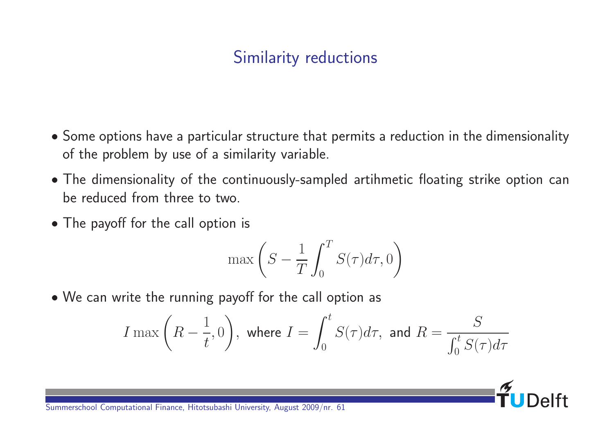# Similarity reductions

- Some options have a particular structure that permits a reduction in the dimensionality of the problem by use of a similarity variable.
- The dimensionality of the continuously-sampled artihmetic floating strike option can be reduced from three to two.
- The payoff for the call option is

$$
\max\left(S - \frac{1}{T} \int_0^T S(\tau) d\tau, 0\right)
$$

We can write the running payoff for the call option as

$$
I\max\left(R-\frac{1}{t},0\right),\text{ where }I=\int_0^tS(\tau)d\tau,\text{ and }R=\frac{S}{\int_0^tS(\tau)d\tau}
$$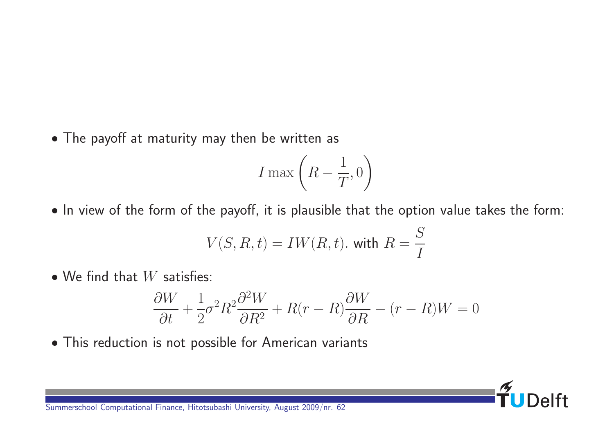The payoff at maturity may then be written as

$$
I\max\left(R-\frac{1}{T},0\right)
$$

• In view of the form of the payoff, it is plausible that the option value takes the form:

$$
V(S, R, t) = IW(R, t). \text{ with } R = \frac{S}{I}
$$

 $\bullet$  We find that  $W$  satisfies:

$$
\frac{\partial W}{\partial t} + \frac{1}{2}\sigma^2 R^2 \frac{\partial^2 W}{\partial R^2} + R(r - R) \frac{\partial W}{\partial R} - (r - R)W = 0
$$

 $\frac{5}{111}$ 

 $\overline{Q}$ 

This reduction is not possible for American variants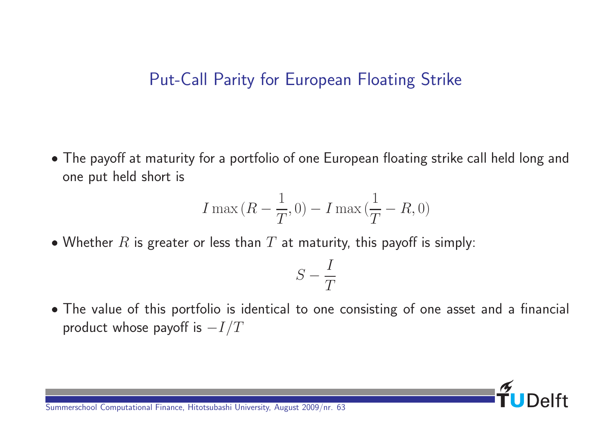#### Put-Call Parity for European Floating Strike

 The payoff at maturity for a portfolio of one European floating strike call held long and one put held short is

$$
I\max\left(R-\frac{1}{T},0\right)-I\max\left(\frac{1}{T}-R,0\right)
$$

• Whether  $R$  is greater or less than  $T$  at maturity, this payoff is simply:

$$
S-\frac{I}{T}
$$

 The value of this portfolio is identical to one consisting of one asset and a financial product whose payoff is  $-I/T$ 

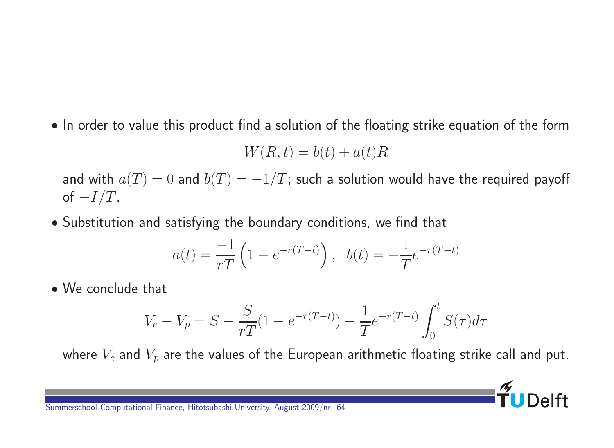• In order to value this product find a solution of the floating strike equation of the form

$$
W(R,t) = b(t) + a(t)R
$$

and with  $a(T) = 0$  and  $b(T) = -1/T$ ; such a solution would have the required payoff of  $-I/T$ .

Substitution and satisfying the boundary conditions, we find that

$$
a(t) = \frac{-1}{rT} \left( 1 - e^{-r(T-t)} \right), \quad b(t) = -\frac{1}{T} e^{-r(T-t)}
$$

We conclude that

$$
V_c - V_p = S - \frac{S}{rT}(1 - e^{-r(T-t)}) - \frac{1}{T}e^{-r(T-t)}\int_0^t S(\tau)d\tau
$$

where  $V_c$  and  $V_p$  are the values of the European arithmetic floating strike call and put.

 $\overline{P}$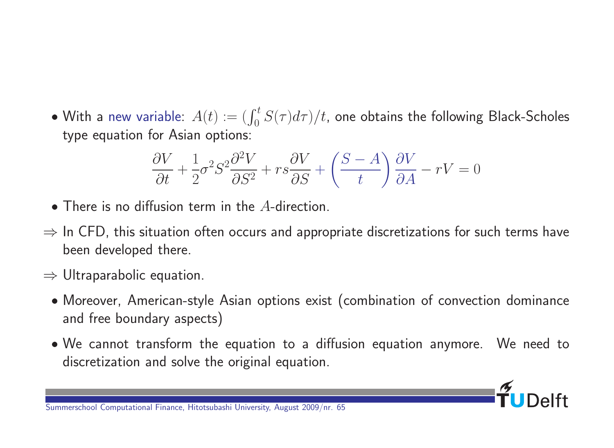$\bullet$  With a new variable:  $A(t):=(\int_0^t S(\tau)d\tau)/t$ , one obtains the following Black-Scholes type equation for Asian options:

$$
\frac{\partial V}{\partial t} + \frac{1}{2}\sigma^2 S^2 \frac{\partial^2 V}{\partial S^2} + rs \frac{\partial V}{\partial S} + \left(\frac{S-A}{t}\right) \frac{\partial V}{\partial A} - rV = 0
$$

- There is no diffusion term in the A-direction.
- $\Rightarrow$  In CFD, this situation often occurs and appropriate discretizations for such terms have been developed there.
- $\Rightarrow$  Ultraparabolic equation.
	- Moreover, American-style Asian options exist (combination of convection dominance and free boundary aspects)
	- We cannot transform the equation to a diffusion equation anymore. We need to discretization and solve the original equation.

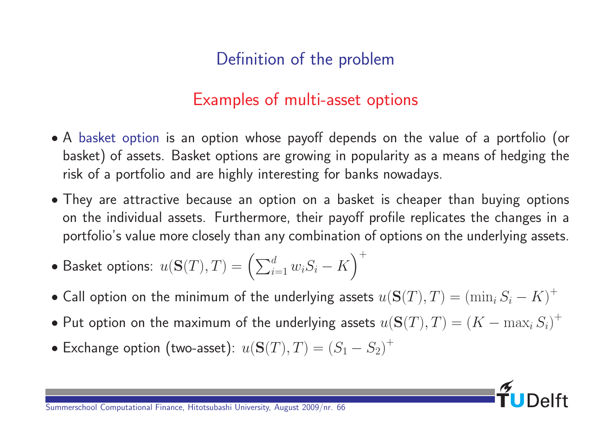## Definition of the problem

#### Examples of multi-asset options

- A basket option is an option whose payoff depends on the value of a portfolio (or basket) of assets. Basket options are growing in popularity as a means of hedging the risk of a portfolio and are highly interesting for banks nowadays.
- They are attractive because an option on a basket is cheaper than buying options on the individual assets. Furthermore, their payoff profile replicates the changes in a portfolio's value more closely than any combination of options on the underlying assets.
- $\bullet$  Basket options:  $u({\bf S}(T),T)=\left(\sum_{i=1}^dw_iS_i-K\right)$  $\gamma^+$
- Call option on the minimum of the underlying assets  $u({\bf S}(T),T)=\left(\min_i S_i-K\right)^+$
- $\bullet$  Put option on the maximum of the underlying assets  $u({\bf S}(T),T)=(K-\max_i S_i)^+$
- Exchange option (two-asset):  $u(S(T), T) = (S_1 S_2)^+$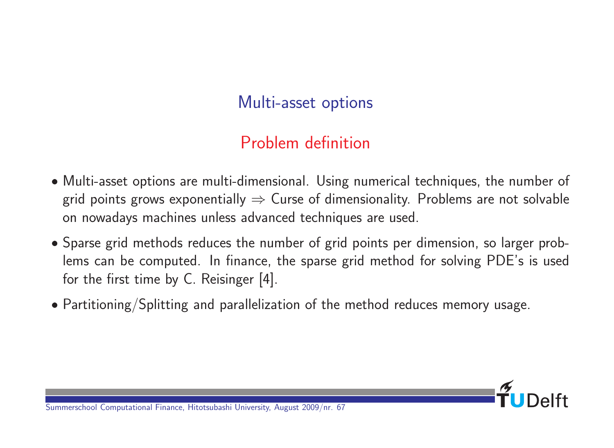### Multi-asset options

# Problem definition

- Multi-asset options are multi-dimensional. Using numerical techniques, the number of grid points grows exponentially  $\Rightarrow$  Curse of dimensionality. Problems are not solvable on nowadays machines unless advanced techniques are used.
- Sparse grid methods reduces the number of grid points per dimension, so larger problems can be computed. In finance, the sparse grid method for solving PDE's is used for the first time by C. Reisinger [4].
- Partitioning/Splitting and parallelization of the method reduces memory usage.

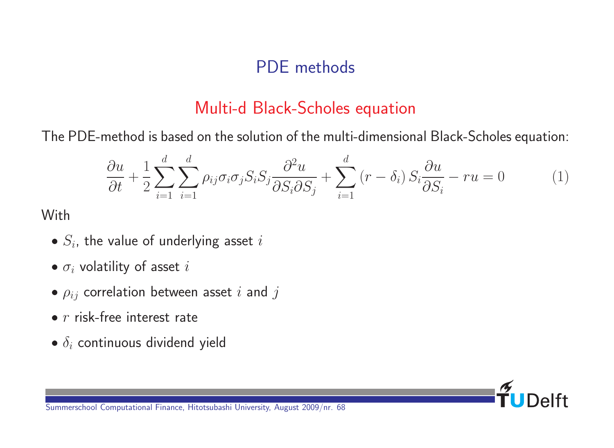### PDE methods

#### Multi-d Black-Scholes equation

The PDE-method is based on the solution of the multi-dimensional Black-Scholes equation:

$$
\frac{\partial u}{\partial t} + \frac{1}{2} \sum_{i=1}^{d} \sum_{j=1}^{d} \rho_{ij} \sigma_i \sigma_j S_i S_j \frac{\partial^2 u}{\partial S_i \partial S_j} + \sum_{i=1}^{d} (r - \delta_i) S_i \frac{\partial u}{\partial S_i} - ru = 0 \tag{1}
$$

**With** 

- $\bullet$   $S_i$ , the value of underlying asset  $i$
- $\bullet$   $\sigma_i$  volatility of asset i
- $\bullet$   $\rho_{ij}$  correlation between asset i and j
- $\bullet$  r risk-free interest rate
- $\bullet$   $\delta_i$  continuous dividend yield

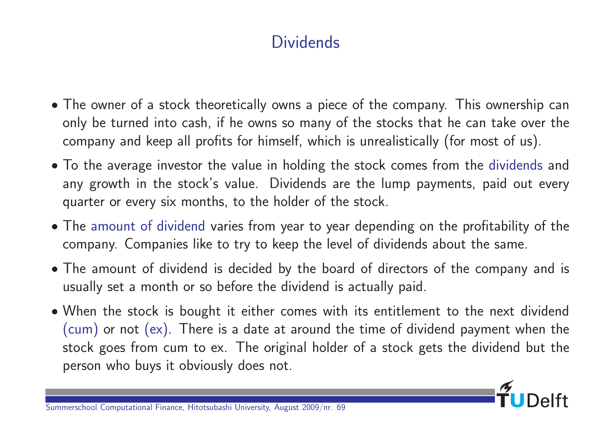### **Dividends**

- The owner of a stock theoretically owns a piece of the company. This ownership can only be turned into cash, if he owns so many of the stocks that he can take over the company and keep all profits for himself, which is unrealistically (for most of us).
- To the average investor the value in holding the stock comes from the dividends and any growth in the stock's value. Dividends are the lump payments, paid out every quarter or every six months, to the holder of the stock.
- The amount of dividend varies from year to year depending on the profitability of the company. Companies like to try to keep the level of dividends about the same.
- The amount of dividend is decided by the board of directors of the company and is usually set a month or so before the dividend is actually paid.
- When the stock is bought it either comes with its entitlement to the next dividend (cum) or not (ex). There is a date at around the time of dividend payment when the stock goes from cum to ex. The original holder of a stock gets the dividend but the person who buys it obviously does not.

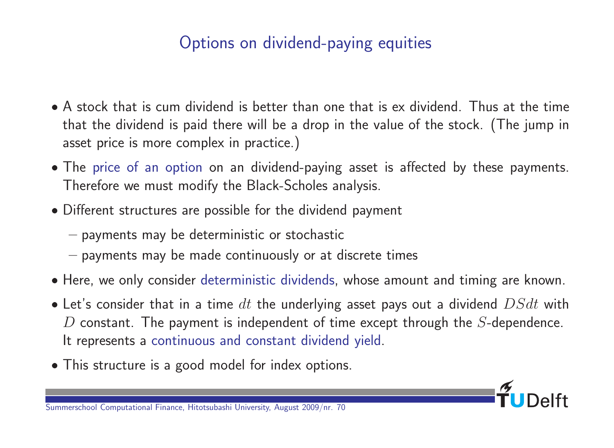## Options on dividend-paying equities

- A stock that is cum dividend is better than one that is ex dividend. Thus at the time that the dividend is paid there will be a drop in the value of the stock. (The jump in asset price is more complex in practice.)
- The price of an option on an dividend-paying asset is affected by these payments. Therefore we must modify the Black-Scholes analysis.
- Different structures are possible for the dividend payment
	- payments may be deterministic or stochastic
	- payments may be made continuously or at discrete times
- Here, we only consider deterministic dividends, whose amount and timing are known.
- Let's consider that in a time  $dt$  the underlying asset pays out a dividend  $DSdt$  with  $D$  constant. The payment is independent of time except through the  $S$ -dependence. It represents a continuous and constant dividend yield.
- This structure is a good model for index options.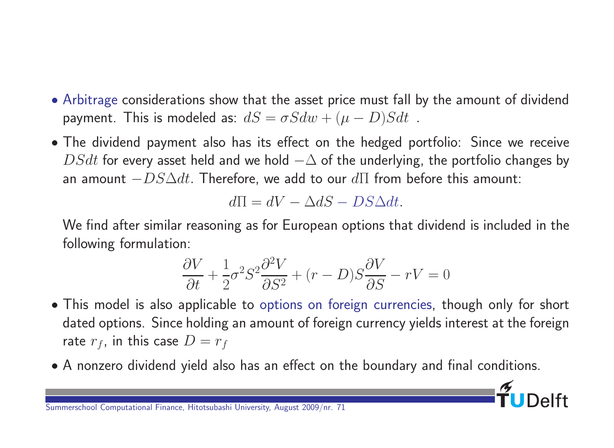- Arbitrage considerations show that the asset price must fall by the amount of dividend payment. This is modeled as:  $dS = \sigma Sdw + (\mu - D)Sdt$ .
- The dividend payment also has its effect on the hedged portfolio: Since we receive  $DSdt$  for every asset held and we hold  $-\Delta$  of the underlying, the portfolio changes by an amount  $-DS\Delta dt$ . Therefore, we add to our  $d\Pi$  from before this amount:

$$
d\Pi = dV - \Delta dS - DS\Delta dt.
$$

We find after similar reasoning as for European options that dividend is included in the following formulation:

$$
\frac{\partial V}{\partial t} + \frac{1}{2}\sigma^2 S^2 \frac{\partial^2 V}{\partial S^2} + (r - D)S \frac{\partial V}{\partial S} - rV = 0
$$

- This model is also applicable to options on foreign currencies, though only for short dated options. Since holding an amount of foreign currency yields interest at the foreign rate  $r_f$ , in this case  $D = r_f$
- A nonzero dividend yield also has an effect on the boundary and final conditions.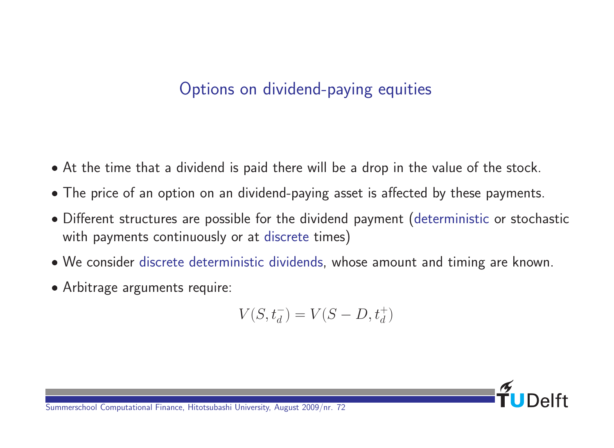## Options on dividend-paying equities

- At the time that a dividend is paid there will be a drop in the value of the stock.
- The price of an option on an dividend-paying asset is affected by these payments.
- Different structures are possible for the dividend payment (deterministic or stochastic with payments continuously or at discrete times)
- We consider discrete deterministic dividends, whose amount and timing are known.
- Arbitrage arguments require:

$$
V(S, t_d^-) = V(S - D, t_d^+)
$$

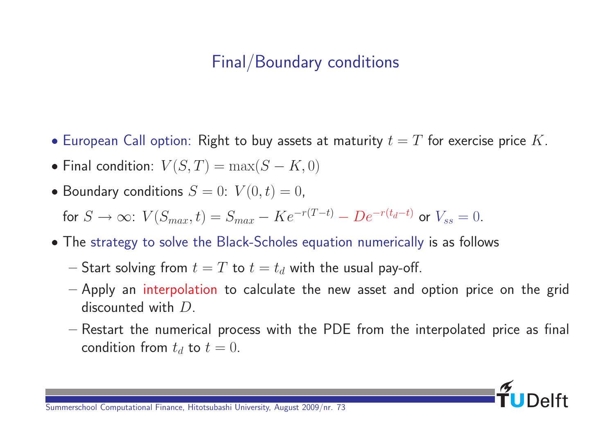## Final/Boundary conditions

- European Call option: Right to buy assets at maturity  $t = T$  for exercise price K.
- Final condition:  $V(S,T) = \max(S-K,0)$
- Boundary conditions  $S = 0$ :  $V(0, t) = 0$ ,

for  $S \to \infty$ :  $V(S_{max}, t) = S_{max} - Ke^{-r(T-t)} - De^{-r(t_d-t)}$  or  $V_{ss} = 0$ .

- The strategy to solve the Black-Scholes equation numerically is as follows
	- Start solving from  $t = T$  to  $t = t_d$  with the usual pay-off.
	- Apply an interpolation to calculate the new asset and option price on the grid discounted with D.
	- Restart the numerical process with the PDE from the interpolated price as final condition from  $t_d$  to  $t = 0$ .